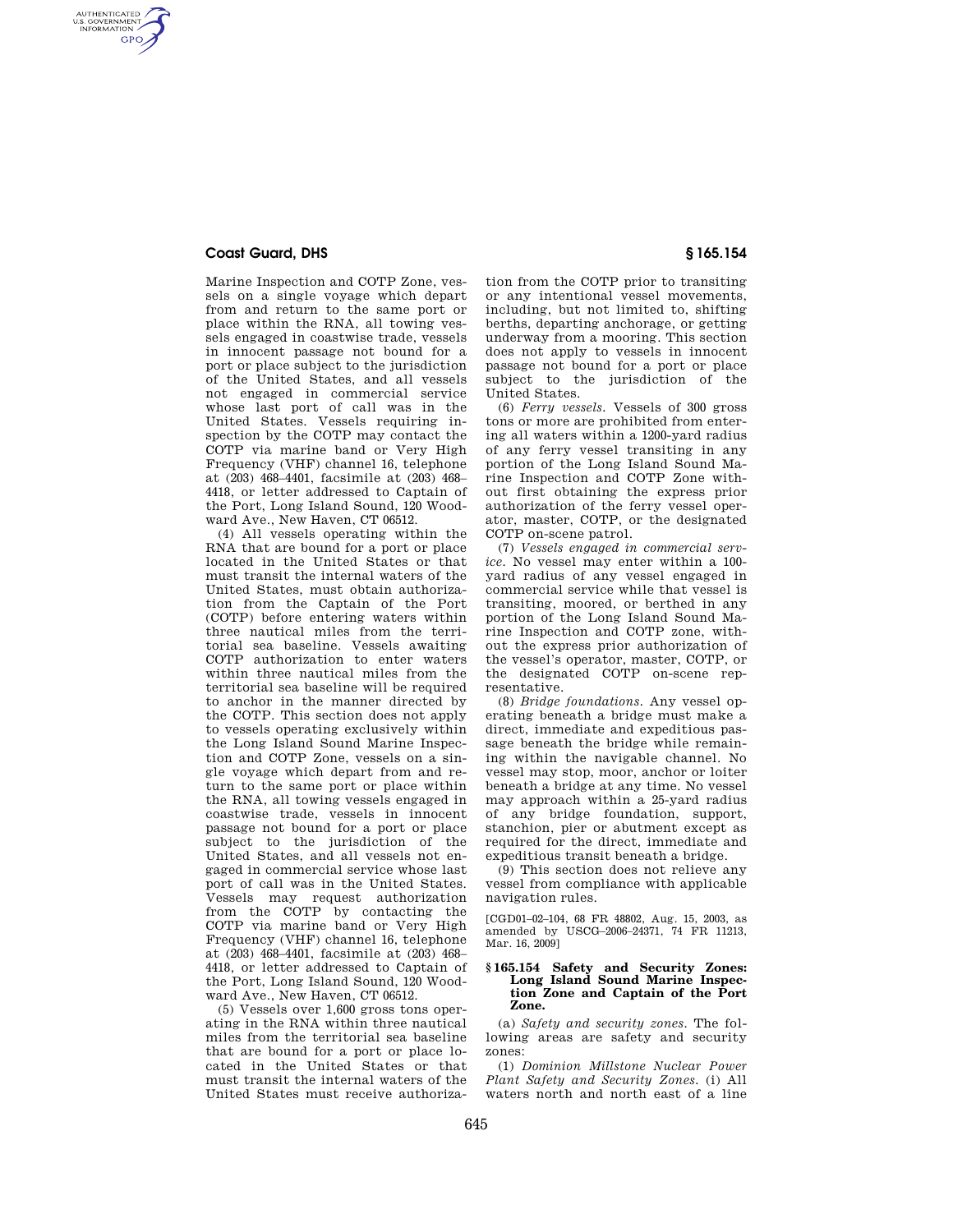## **Coast Guard, DHS § 165.154**

AUTHENTICATED<br>U.S. GOVERNMENT<br>INFORMATION **GPO** 

> Marine Inspection and COTP Zone, vessels on a single voyage which depart from and return to the same port or place within the RNA, all towing vessels engaged in coastwise trade, vessels in innocent passage not bound for a port or place subject to the jurisdiction of the United States, and all vessels not engaged in commercial service whose last port of call was in the United States. Vessels requiring inspection by the COTP may contact the COTP via marine band or Very High Frequency (VHF) channel 16, telephone at (203) 468–4401, facsimile at (203) 468– 4418, or letter addressed to Captain of the Port, Long Island Sound, 120 Woodward Ave., New Haven, CT 06512.

> (4) All vessels operating within the RNA that are bound for a port or place located in the United States or that must transit the internal waters of the United States, must obtain authorization from the Captain of the Port (COTP) before entering waters within three nautical miles from the territorial sea baseline. Vessels awaiting COTP authorization to enter waters within three nautical miles from the territorial sea baseline will be required to anchor in the manner directed by the COTP. This section does not apply to vessels operating exclusively within the Long Island Sound Marine Inspection and COTP Zone, vessels on a single voyage which depart from and return to the same port or place within the RNA, all towing vessels engaged in coastwise trade, vessels in innocent passage not bound for a port or place subject to the jurisdiction of the United States, and all vessels not engaged in commercial service whose last port of call was in the United States. Vessels may request authorization from the COTP by contacting the COTP via marine band or Very High Frequency (VHF) channel 16, telephone at (203) 468–4401, facsimile at (203) 468– 4418, or letter addressed to Captain of the Port, Long Island Sound, 120 Woodward Ave., New Haven, CT 06512.

> (5) Vessels over 1,600 gross tons operating in the RNA within three nautical miles from the territorial sea baseline that are bound for a port or place located in the United States or that must transit the internal waters of the United States must receive authoriza-

tion from the COTP prior to transiting or any intentional vessel movements, including, but not limited to, shifting berths, departing anchorage, or getting underway from a mooring. This section does not apply to vessels in innocent passage not bound for a port or place subject to the jurisdiction of the United States.

(6) *Ferry vessels.* Vessels of 300 gross tons or more are prohibited from entering all waters within a 1200-yard radius of any ferry vessel transiting in any portion of the Long Island Sound Marine Inspection and COTP Zone without first obtaining the express prior authorization of the ferry vessel operator, master, COTP, or the designated COTP on-scene patrol.

(7) *Vessels engaged in commercial service.* No vessel may enter within a 100 yard radius of any vessel engaged in commercial service while that vessel is transiting, moored, or berthed in any portion of the Long Island Sound Marine Inspection and COTP zone, without the express prior authorization of the vessel's operator, master, COTP, or the designated COTP on-scene representative.

(8) *Bridge foundations.* Any vessel operating beneath a bridge must make a direct, immediate and expeditious passage beneath the bridge while remaining within the navigable channel. No vessel may stop, moor, anchor or loiter beneath a bridge at any time. No vessel may approach within a 25-yard radius of any bridge foundation, support, stanchion, pier or abutment except as required for the direct, immediate and expeditious transit beneath a bridge.

(9) This section does not relieve any vessel from compliance with applicable navigation rules.

[CGD01–02–104, 68 FR 48802, Aug. 15, 2003, as amended by USCG–2006–24371, 74 FR 11213, Mar. 16, 2009]

## **§ 165.154 Safety and Security Zones: Long Island Sound Marine Inspection Zone and Captain of the Port Zone.**

(a) *Safety and security zones.* The following areas are safety and security zones:

(1) *Dominion Millstone Nuclear Power Plant Safety and Security Zones.* (i) All waters north and north east of a line